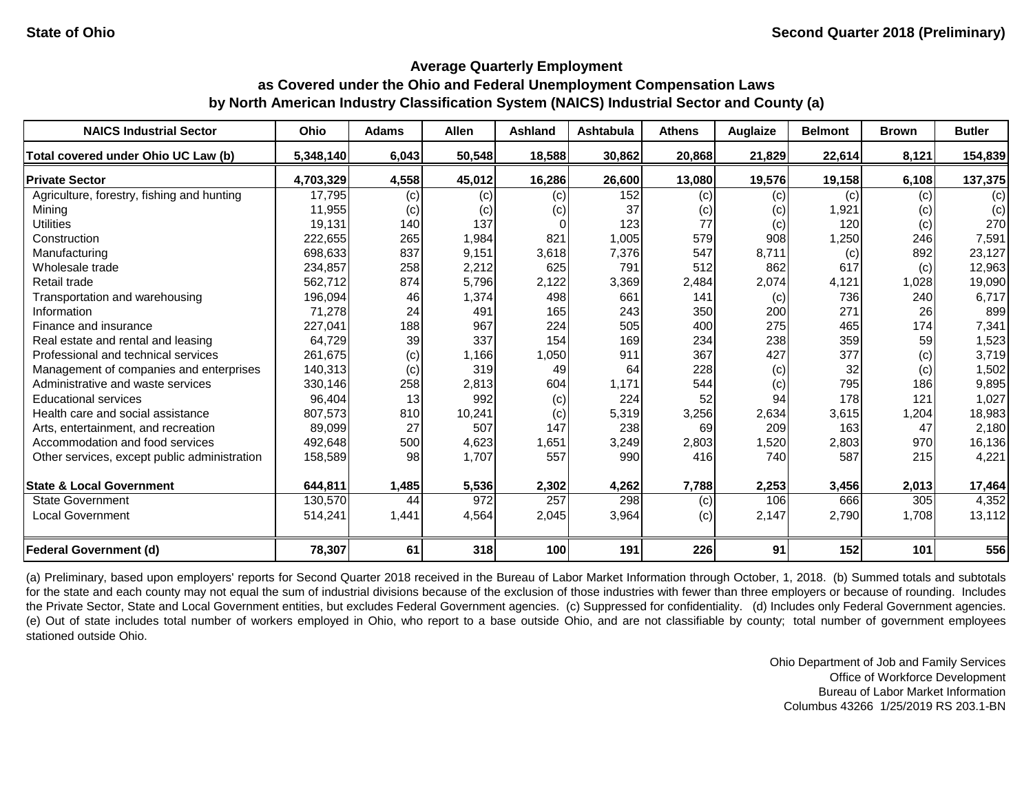#### **Average Quarterly Employment**

# **as Covered under the Ohio and Federal Unemployment Compensation Laws by North American Industry Classification System (NAICS) Industrial Sector and County (a)**

| <b>NAICS Industrial Sector</b>               | Ohio      | <b>Adams</b> | <b>Allen</b> | <b>Ashland</b> | Ashtabula | <b>Athens</b> | <b>Auglaize</b> | <b>Belmont</b> | <b>Brown</b> | <b>Butler</b> |
|----------------------------------------------|-----------|--------------|--------------|----------------|-----------|---------------|-----------------|----------------|--------------|---------------|
| Total covered under Ohio UC Law (b)          | 5,348,140 | 6,043        | 50,548       | 18,588         | 30,862    | 20,868        | 21,829          | 22,614         | 8,121        | 154,839       |
| <b>Private Sector</b>                        | 4,703,329 | 4,558        | 45,012       | 16,286         | 26,600    | 13,080        | 19,576          | 19,158         | 6,108        | 137,375       |
| Agriculture, forestry, fishing and hunting   | 17,795    | (c)          | (c)          | (c)            | 152       | (c)           | (c)             | (c)            | (c)          | (c)           |
| Mining                                       | 11,955    | (c)          | (c)          | (c)            | 37        | (c)           | (c)             | 1,921          | (c)          | (c)           |
| <b>Utilities</b>                             | 19,131    | 140          | 137          |                | 123       | 77            | (c)             | 120            | (c)          | 270           |
| Construction                                 | 222,655   | 265          | 1,984        | 821            | 1,005     | 579           | 908             | 1,250          | 246          | 7,591         |
| Manufacturing                                | 698,633   | 837          | 9,151        | 3,618          | 7,376     | 547           | 8,711           | (c)            | 892          | 23,127        |
| Wholesale trade                              | 234,857   | 258          | 2,212        | 625            | 791       | 512           | 862             | 617            | (c)          | 12,963        |
| Retail trade                                 | 562,712   | 874          | 5,796        | 2,122          | 3,369     | 2,484         | 2,074           | 4,121          | 1,028        | 19,090        |
| Transportation and warehousing               | 196,094   | 46           | 1,374        | 498            | 661       | 141           | (c)             | 736            | 240          | 6,717         |
| Information                                  | 71,278    | 24           | 491          | 165            | 243       | 350           | 200             | 271            | 26           | 899           |
| Finance and insurance                        | 227,041   | 188          | 967          | 224            | 505       | 400           | 275             | 465            | 174          | 7,341         |
| Real estate and rental and leasing           | 64,729    | 39           | 337          | 154            | 169       | 234           | 238             | 359            | 59           | 1,523         |
| Professional and technical services          | 261,675   | (c)          | 1,166        | 1,050          | 911       | 367           | 427             | 377            | (c)          | 3,719         |
| Management of companies and enterprises      | 140,313   | (c)          | 319          | 49             | 64        | 228           | (c)             | 32             | (c)          | 1,502         |
| Administrative and waste services            | 330,146   | 258          | 2,813        | 604            | 1,171     | 544           | (c)             | 795            | 186          | 9,895         |
| <b>Educational services</b>                  | 96,404    | 13           | 992          | (c)            | 224       | 52            | 94              | 178            | 121          | 1,027         |
| Health care and social assistance            | 807,573   | 810          | 10,241       | (c)            | 5,319     | 3,256         | 2,634           | 3,615          | 1,204        | 18,983        |
| Arts, entertainment, and recreation          | 89,099    | 27           | 507          | 147            | 238       | 69            | 209             | 163            | 47           | 2,180         |
| Accommodation and food services              | 492,648   | 500          | 4,623        | 1,651          | 3,249     | 2,803         | 1,520           | 2,803          | 970          | 16,136        |
| Other services, except public administration | 158,589   | 98           | 1,707        | 557            | 990       | 416           | 740             | 587            | 215          | 4,221         |
| <b>State &amp; Local Government</b>          | 644,811   | 1,485        | 5,536        | 2,302          | 4,262     | 7,788         | 2,253           | 3,456          | 2,013        | 17,464        |
| State Government                             | 130,570   | 44           | 972          | 257            | 298       | (c)           | 106             | 666            | 305          | 4,352         |
| <b>Local Government</b>                      | 514,241   | 1,441        | 4,564        | 2,045          | 3,964     | (c)           | 2,147           | 2,790          | 1,708        | 13,112        |
| <b>Federal Government (d)</b>                | 78,307    | 61           | 318          | 100            | 191       | 226           | 91              | 152            | 101          | 556           |

(a) Preliminary, based upon employers' reports for Second Quarter 2018 received in the Bureau of Labor Market Information through October, 1, 2018. (b) Summed totals and subtotals for the state and each county may not equal the sum of industrial divisions because of the exclusion of those industries with fewer than three employers or because of rounding. Includes the Private Sector, State and Local Government entities, but excludes Federal Government agencies. (c) Suppressed for confidentiality. (d) Includes only Federal Government agencies. (e) Out of state includes total number of workers employed in Ohio, who report to a base outside Ohio, and are not classifiable by county; total number of government employees stationed outside Ohio.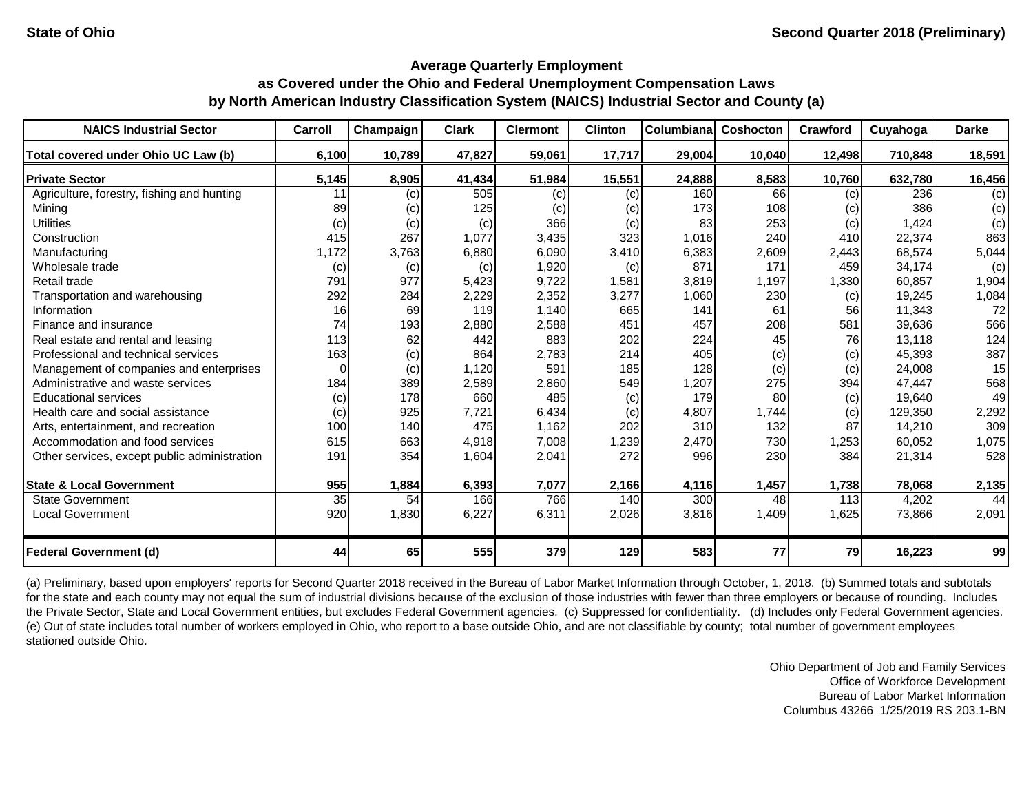| <b>NAICS Industrial Sector</b>               | Carroll         | Champaign | <b>Clark</b> | <b>Clermont</b> | <b>Clinton</b> | <b>Columbiana</b> | Coshocton | Crawford | Cuyahoga | <b>Darke</b> |
|----------------------------------------------|-----------------|-----------|--------------|-----------------|----------------|-------------------|-----------|----------|----------|--------------|
| Total covered under Ohio UC Law (b)          | 6,100           | 10,789    | 47,827       | 59,061          | 17,717         | 29,004            | 10,040    | 12,498   | 710,848  | 18,591       |
| <b>Private Sector</b>                        | 5,145           | 8,905     | 41,434       | 51,984          | 15,551         | 24,888            | 8,583     | 10,760   | 632,780  | 16,456       |
| Agriculture, forestry, fishing and hunting   | 11              | (c)       | 505          | (c)             | (c)            | 160               | 66        | (c)      | 236      | (c)          |
| Mining                                       | 89              | (c)       | 125          | (c)             | (c)            | 173               | 108       | (c)      | 386      | (c)          |
| <b>Utilities</b>                             | (c)             | (c)       | (c)          | 366             | (c)            | 83                | 253       | (c)      | 1,424    | (c)          |
| Construction                                 | 415             | 267       | 1,077        | 3,435           | 323            | 1,016             | 240       | 410      | 22,374   | 863          |
| Manufacturing                                | 1,172           | 3,763     | 6,880        | 6,090           | 3,410          | 6,383             | 2,609     | 2,443    | 68,574   | 5,044        |
| Wholesale trade                              | (c)             | (c)       | (c)          | 1,920           | (c)            | 871               | 171       | 459      | 34,174   | (c)          |
| Retail trade                                 | 791             | 977       | 5,423        | 9,722           | 1,581          | 3,819             | 1,197     | 1,330    | 60,857   | 1,904        |
| Transportation and warehousing               | 292             | 284       | 2,229        | 2,352           | 3,277          | 1,060             | 230       | (c)      | 19,245   | 1,084        |
| Information                                  | 16              | 69        | 119          | 1,140           | 665            | 141               | 61        | 56       | 11,343   | 72           |
| Finance and insurance                        | 74              | 193       | 2,880        | 2,588           | 451            | 457               | 208       | 581      | 39,636   | 566          |
| Real estate and rental and leasing           | 113             | 62        | 442          | 883             | 202            | 224               | 45        | 76       | 13,118   | 124          |
| Professional and technical services          | 163             | (c)       | 864          | 2,783           | 214            | 405               | (c)       | (c)      | 45,393   | 387          |
| Management of companies and enterprises      | $\Omega$        | (c)       | 1,120        | 591             | 185            | 128               | (c)       | (c)      | 24,008   | 15           |
| Administrative and waste services            | 184             | 389       | 2,589        | 2,860           | 549            | 1,207             | 275       | 394      | 47,447   | 568          |
| <b>Educational services</b>                  | (c)             | 178       | 660          | 485             | (c)            | 179               | 80        | (c)      | 19,640   | 49           |
| Health care and social assistance            | (c)             | 925       | 7,721        | 6,434           | (c)            | 4,807             | 1,744     | (c)      | 129,350  | 2,292        |
| Arts, entertainment, and recreation          | 100             | 140       | 475          | 1,162           | 202            | 310               | 132       | 87       | 14,210   | 309          |
| Accommodation and food services              | 615             | 663       | 4,918        | 7,008           | 1,239          | 2,470             | 730       | 1,253    | 60,052   | 1,075        |
| Other services, except public administration | 191             | 354       | 1,604        | 2,041           | 272            | 996               | 230       | 384      | 21,314   | 528          |
| <b>State &amp; Local Government</b>          | 955             | 1,884     | 6,393        | 7,077           | 2,166          | 4,116             | 1,457     | 1,738    | 78,068   | 2,135        |
| <b>State Government</b>                      | $\overline{35}$ | 54        | 166          | 766             | 140            | 300               | 48        | 113      | 4,202    | 44           |
| <b>Local Government</b>                      | 920             | 1,830     | 6,227        | 6,311           | 2,026          | 3,816             | 1,409     | 1,625    | 73,866   | 2,091        |
| <b>Federal Government (d)</b>                | 44              | 65        | 555          | 379             | 129            | 583               | 77        | 79       | 16,223   | 99           |

(a) Preliminary, based upon employers' reports for Second Quarter 2018 received in the Bureau of Labor Market Information through October, 1, 2018. (b) Summed totals and subtotals for the state and each county may not equal the sum of industrial divisions because of the exclusion of those industries with fewer than three employers or because of rounding. Includes the Private Sector, State and Local Government entities, but excludes Federal Government agencies. (c) Suppressed for confidentiality. (d) Includes only Federal Government agencies. (e) Out of state includes total number of workers employed in Ohio, who report to a base outside Ohio, and are not classifiable by county; total number of government employees stationed outside Ohio.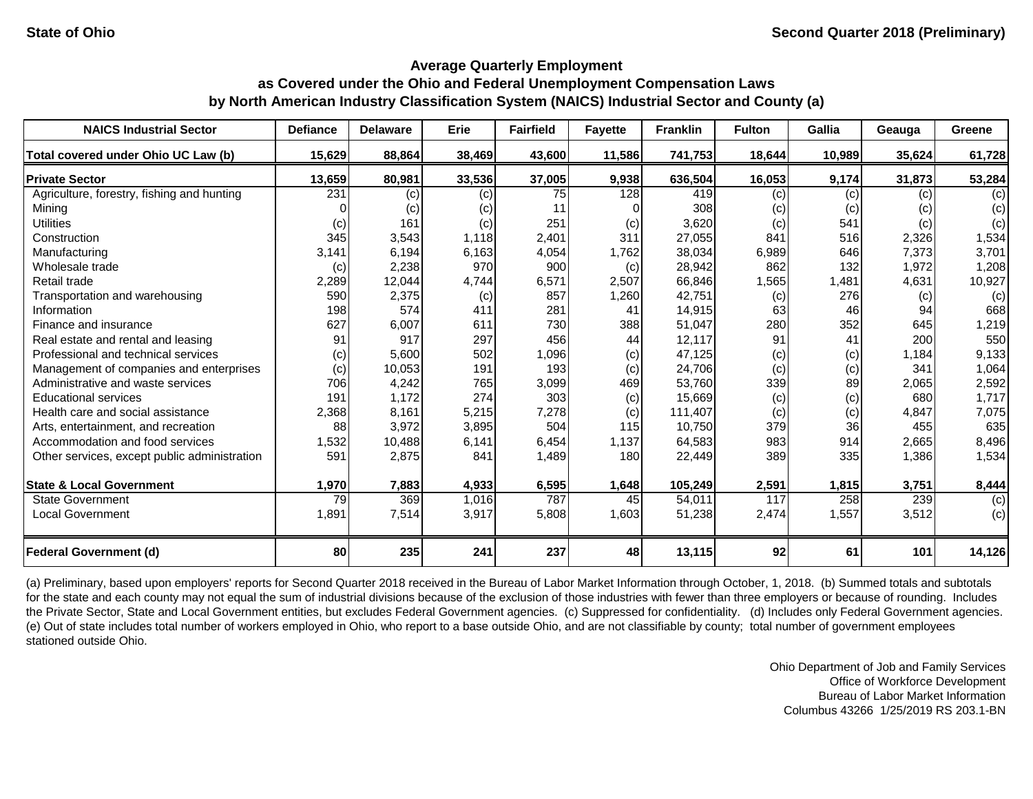| <b>NAICS Industrial Sector</b>               | <b>Defiance</b> | <b>Delaware</b> | <b>Erie</b> | <b>Fairfield</b> | <b>Fayette</b> | <b>Franklin</b> | <b>Fulton</b> | Gallia | Geauga | Greene |
|----------------------------------------------|-----------------|-----------------|-------------|------------------|----------------|-----------------|---------------|--------|--------|--------|
| Total covered under Ohio UC Law (b)          | 15,629          | 88,864          | 38,469      | 43,600           | 11,586         | 741,753         | 18,644        | 10,989 | 35,624 | 61,728 |
| <b>Private Sector</b>                        | 13,659          | 80,981          | 33,536      | 37,005           | 9,938          | 636,504         | 16,053        | 9,174  | 31,873 | 53,284 |
| Agriculture, forestry, fishing and hunting   | 231             | (c)             | (c)         | 75               | 128            | 419             | (c)           | (c)    | (c)    | (c)    |
| Mining                                       |                 | (c)             | (c)         | 11               |                | 308             | (c)           | (c)    | (c)    | (c)    |
| <b>Utilities</b>                             | (c)             | 161             | (c)         | 251              | (c)            | 3,620           | (c)           | 541    | (c)    | (c)    |
| Construction                                 | 345             | 3,543           | 1,118       | 2,401            | 311            | 27,055          | 841           | 516    | 2,326  | 1,534  |
| Manufacturing                                | 3,141           | 6,194           | 6,163       | 4,054            | 1,762          | 38,034          | 6,989         | 646    | 7,373  | 3,701  |
| Wholesale trade                              | (c)             | 2,238           | 970         | 900              | (c)            | 28,942          | 862           | 132    | 1,972  | 1,208  |
| Retail trade                                 | 2,289           | 12,044          | 4,744       | 6,571            | 2,507          | 66,846          | 1,565         | 1,481  | 4,631  | 10,927 |
| Transportation and warehousing               | 590             | 2,375           | (c)         | 857              | 1,260          | 42,751          | (c)           | 276    | (c)    | (c)    |
| Information                                  | 198             | 574             | 411         | 281              | 41             | 14,915          | 63            | 46     | 94     | 668    |
| Finance and insurance                        | 627             | 6,007           | 611         | 730              | 388            | 51,047          | 280           | 352    | 645    | 1,219  |
| Real estate and rental and leasing           | 91              | 917             | 297         | 456              | 44             | 12,117          | 91            | 41     | 200    | 550    |
| Professional and technical services          | (c)             | 5,600           | 502         | 1,096            | (c)            | 47,125          | (c)           | (c)    | 1,184  | 9,133  |
| Management of companies and enterprises      | (c)             | 10,053          | 191         | 193              | (c)            | 24,706          | (c)           | (c)    | 341    | 1,064  |
| Administrative and waste services            | 706             | 4,242           | 765         | 3,099            | 469            | 53,760          | 339           | 89     | 2,065  | 2,592  |
| <b>Educational services</b>                  | 191             | 1,172           | 274         | 303              | (c)            | 15,669          | (c)           | (c)    | 680    | 1,717  |
| Health care and social assistance            | 2,368           | 8,161           | 5,215       | 7,278            | (c)            | 111,407         | (c)           | (c)    | 4,847  | 7,075  |
| Arts, entertainment, and recreation          | 88              | 3,972           | 3,895       | 504              | 115            | 10,750          | 379           | 36     | 455    | 635    |
| Accommodation and food services              | 1,532           | 10,488          | 6,141       | 6,454            | 1,137          | 64,583          | 983           | 914    | 2,665  | 8,496  |
| Other services, except public administration | 591             | 2,875           | 841         | 1,489            | 180            | 22,449          | 389           | 335    | 1,386  | 1,534  |
| <b>State &amp; Local Government</b>          | 1,970           | 7,883           | 4,933       | 6,595            | 1,648          | 105,249         | 2,591         | 1,815  | 3,751  | 8,444  |
| <b>State Government</b>                      | 79              | 369             | 1,016       | 787              | 45             | 54,011          | 117           | 258    | 239    | (c)    |
| <b>Local Government</b>                      | 1,891           | 7,514           | 3,917       | 5,808            | 1,603          | 51,238          | 2,474         | 1,557  | 3,512  | (c)    |
| <b>Federal Government (d)</b>                | 80              | 235             | 241         | 237              | 48             | 13,115          | 92            | 61     | 101    | 14,126 |

(a) Preliminary, based upon employers' reports for Second Quarter 2018 received in the Bureau of Labor Market Information through October, 1, 2018. (b) Summed totals and subtotals for the state and each county may not equal the sum of industrial divisions because of the exclusion of those industries with fewer than three employers or because of rounding. Includes the Private Sector, State and Local Government entities, but excludes Federal Government agencies. (c) Suppressed for confidentiality. (d) Includes only Federal Government agencies. (e) Out of state includes total number of workers employed in Ohio, who report to a base outside Ohio, and are not classifiable by county; total number of government employees stationed outside Ohio.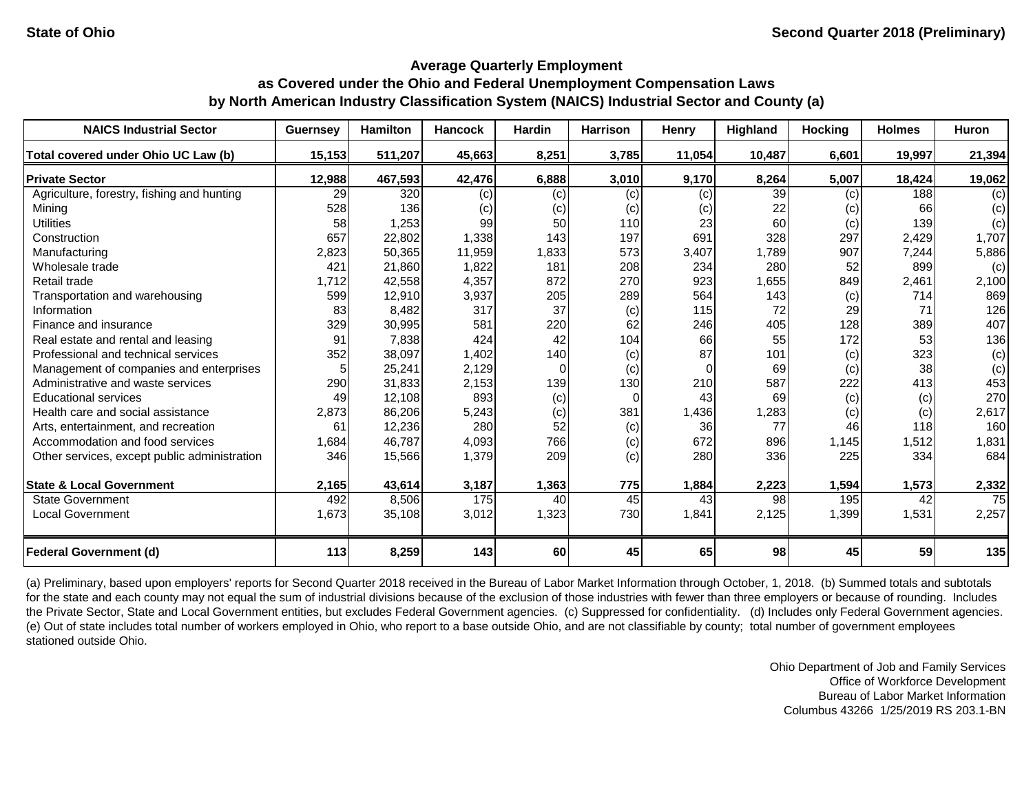| <b>NAICS Industrial Sector</b>               | <b>Guernsey</b> | <b>Hamilton</b> | <b>Hancock</b> | <b>Hardin</b> | <b>Harrison</b> | <b>Henry</b> | <b>Highland</b> | <b>Hocking</b> | <b>Holmes</b> | <b>Huron</b> |
|----------------------------------------------|-----------------|-----------------|----------------|---------------|-----------------|--------------|-----------------|----------------|---------------|--------------|
| Total covered under Ohio UC Law (b)          | 15,153          | 511,207         | 45,663         | 8,251         | 3,785           | 11,054       | 10,487          | 6,601          | 19,997        | 21,394       |
| <b>Private Sector</b>                        | 12,988          | 467,593         | 42,476         | 6,888         | 3,010           | 9,170        | 8,264           | 5,007          | 18,424        | 19,062       |
| Agriculture, forestry, fishing and hunting   | 29              | 320             | (c)            | (c)           | (c)             | (c)          | 39              | (c)            | 188           | (c)          |
| Mining                                       | 528             | 136             | (c)            | (c)           | (c)             | (c)          | 22              | (c)            | 66            | (c)          |
| <b>Utilities</b>                             | 58              | 1,253           | 99             | 50            | 110             | 23           | 60              | (c)            | 139           | (c)          |
| Construction                                 | 657             | 22,802          | 1,338          | 143           | 197             | 691          | 328             | 297            | 2,429         | 1,707        |
| Manufacturing                                | 2,823           | 50,365          | 11,959         | 1,833         | 573             | 3,407        | 1,789           | 907            | 7,244         | 5,886        |
| Wholesale trade                              | 421             | 21,860          | 1,822          | 181           | 208             | 234          | 280             | 52             | 899           | (c)          |
| Retail trade                                 | 1,712           | 42,558          | 4,357          | 872           | 270             | 923          | 1,655           | 849            | 2,461         | 2,100        |
| Transportation and warehousing               | 599             | 12,910          | 3,937          | 205           | 289             | 564          | 143             | (c)            | 714           | 869          |
| Information                                  | 83              | 8,482           | 317            | 37            | (c)             | 115          | 72              | 29             | 71            | 126          |
| Finance and insurance                        | 329             | 30,995          | 581            | 220           | 62              | 246          | 405             | 128            | 389           | 407          |
| Real estate and rental and leasing           | 91              | 7,838           | 424            | 42            | 104             | 66           | 55              | 172            | 53            | 136          |
| Professional and technical services          | 352             | 38,097          | 1,402          | 140           | (c)             | 87           | 101             | (c)            | 323           | (c)          |
| Management of companies and enterprises      |                 | 25,241          | 2,129          | $\Omega$      | (c)             | $\Omega$     | 69              | (c)            | 38            | (c)          |
| Administrative and waste services            | 290             | 31,833          | 2,153          | 139           | 130             | 210          | 587             | 222            | 413           | 453          |
| <b>Educational services</b>                  | 49              | 12,108          | 893            | (c)           | $\Omega$        | 43           | 69              | (c)            | (c)           | 270          |
| Health care and social assistance            | 2,873           | 86,206          | 5,243          | (c)           | 381             | 1,436        | 1,283           | (c)            | (c)           | 2,617        |
| Arts, entertainment, and recreation          | 61              | 12,236          | 280            | 52            | (c)             | 36           | 77              | 46             | 118           | 160          |
| Accommodation and food services              | 1,684           | 46,787          | 4,093          | 766           | (c)             | 672          | 896             | 1,145          | 1,512         | 1,831        |
| Other services, except public administration | 346             | 15,566          | 1,379          | 209           | (c)             | 280          | 336             | 225            | 334           | 684          |
| <b>State &amp; Local Government</b>          | 2,165           | 43,614          | 3,187          | 1,363         | 775             | 1,884        | 2,223           | 1,594          | 1,573         | 2,332        |
| <b>State Government</b>                      | 492             | 8,506           | 175            | 40            | 45              | 43           | 98              | 195            | 42            | 75           |
| <b>Local Government</b>                      | 1,673           | 35,108          | 3,012          | 1,323         | 730             | 1,841        | 2,125           | 1,399          | 1,531         | 2,257        |
| <b>Federal Government (d)</b>                | 113             | 8,259           | 143            | 60            | 45              | 65           | 98              | 45             | 59            | 135          |

(a) Preliminary, based upon employers' reports for Second Quarter 2018 received in the Bureau of Labor Market Information through October, 1, 2018. (b) Summed totals and subtotals for the state and each county may not equal the sum of industrial divisions because of the exclusion of those industries with fewer than three employers or because of rounding. Includes the Private Sector, State and Local Government entities, but excludes Federal Government agencies. (c) Suppressed for confidentiality. (d) Includes only Federal Government agencies. (e) Out of state includes total number of workers employed in Ohio, who report to a base outside Ohio, and are not classifiable by county; total number of government employees stationed outside Ohio.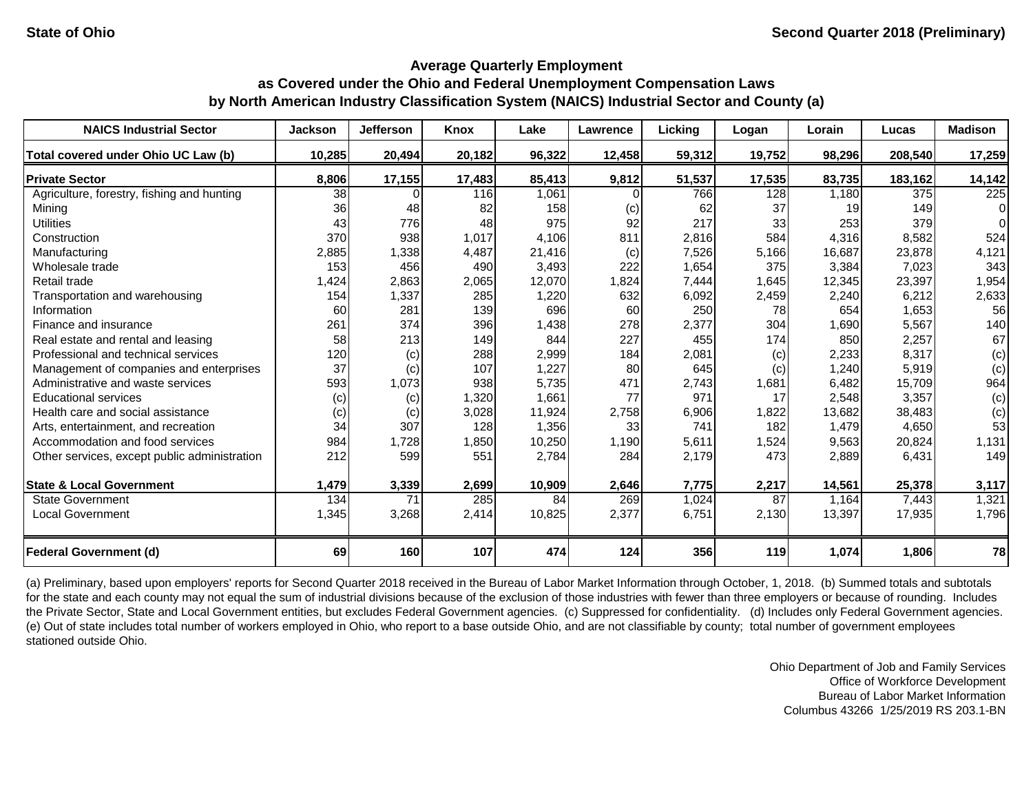| <b>NAICS Industrial Sector</b>               | <b>Jackson</b> | <b>Jefferson</b> | <b>Knox</b> | Lake   | <b>Lawrence</b> | Licking | Logan  | Lorain | Lucas   | <b>Madison</b> |
|----------------------------------------------|----------------|------------------|-------------|--------|-----------------|---------|--------|--------|---------|----------------|
| Total covered under Ohio UC Law (b)          | 10,285         | 20,494           | 20,182      | 96,322 | 12,458          | 59,312  | 19,752 | 98,296 | 208,540 | 17,259         |
| <b>Private Sector</b>                        | 8,806          | 17,155           | 17,483      | 85,413 | 9,812           | 51,537  | 17,535 | 83,735 | 183,162 | 14,142         |
| Agriculture, forestry, fishing and hunting   | 38             |                  | 116         | 1,061  |                 | 766     | 128    | 1,180  | 375     | 225            |
| Mining                                       | 36             | 48               | 82          | 158    | (c)             | 62      | 37     | 19     | 149     | 0              |
| <b>Utilities</b>                             | 43             | 776              | 48          | 975    | 92              | 217     | 33     | 253    | 379     |                |
| Construction                                 | 370            | 938              | 1,017       | 4,106  | 811             | 2,816   | 584    | 4,316  | 8,582   | 524            |
| Manufacturing                                | 2,885          | 1,338            | 4,487       | 21,416 | (c)             | 7,526   | 5,166  | 16,687 | 23,878  | 4,121          |
| Wholesale trade                              | 153            | 456              | 490         | 3,493  | 222             | 1,654   | 375    | 3,384  | 7,023   | 343            |
| Retail trade                                 | 1,424          | 2,863            | 2,065       | 12,070 | 1,824           | 7,444   | 1,645  | 12,345 | 23,397  | 1,954          |
| Transportation and warehousing               | 154            | 1,337            | 285         | 1,220  | 632             | 6,092   | 2,459  | 2,240  | 6,212   | 2,633          |
| Information                                  | 60             | 281              | 139         | 696    | 60              | 250     | 78     | 654    | 1,653   | 56             |
| Finance and insurance                        | 261            | 374              | 396         | 1,438  | 278             | 2,377   | 304    | 1,690  | 5,567   | 140            |
| Real estate and rental and leasing           | 58             | 213              | 149         | 844    | 227             | 455     | 174    | 850    | 2,257   | 67             |
| Professional and technical services          | 120            | (c)              | 288         | 2,999  | 184             | 2,081   | (c)    | 2,233  | 8,317   | (c)            |
| Management of companies and enterprises      | 37             | (c)              | 107         | 1,227  | 80              | 645     | (c)    | 1,240  | 5,919   | (c)            |
| Administrative and waste services            | 593            | 1,073            | 938         | 5,735  | 471             | 2,743   | 1,681  | 6,482  | 15,709  | 964            |
| <b>Educational services</b>                  | (c)            | (c)              | 1,320       | 1,661  | 77              | 971     | 17     | 2,548  | 3,357   | (c)            |
| Health care and social assistance            | (c)            | (c)              | 3,028       | 11,924 | 2,758           | 6,906   | 1,822  | 13,682 | 38,483  | (c)            |
| Arts, entertainment, and recreation          | 34             | 307              | 128         | 1,356  | 33              | 741     | 182    | 1,479  | 4,650   | 53             |
| Accommodation and food services              | 984            | 1,728            | 1,850       | 10,250 | 1,190           | 5,611   | 1,524  | 9,563  | 20,824  | 1,131          |
| Other services, except public administration | 212            | 599              | 551         | 2,784  | 284             | 2,179   | 473    | 2,889  | 6,431   | 149            |
| <b>State &amp; Local Government</b>          | 1,479          | 3,339            | 2,699       | 10,909 | 2,646           | 7,775   | 2,217  | 14,561 | 25,378  | 3,117          |
| <b>State Government</b>                      | 134            | 71               | 285         | 84     | 269             | 1,024   | 87     | 1,164  | 7,443   | 1,321          |
| <b>Local Government</b>                      | 1,345          | 3,268            | 2,414       | 10,825 | 2,377           | 6,751   | 2,130  | 13,397 | 17,935  | 1,796          |
| <b>Federal Government (d)</b>                | 69             | 160              | 107         | 474    | 124             | 356     | 119    | 1,074  | 1,806   | 78             |

(a) Preliminary, based upon employers' reports for Second Quarter 2018 received in the Bureau of Labor Market Information through October, 1, 2018. (b) Summed totals and subtotals for the state and each county may not equal the sum of industrial divisions because of the exclusion of those industries with fewer than three employers or because of rounding. Includes the Private Sector, State and Local Government entities, but excludes Federal Government agencies. (c) Suppressed for confidentiality. (d) Includes only Federal Government agencies. (e) Out of state includes total number of workers employed in Ohio, who report to a base outside Ohio, and are not classifiable by county; total number of government employees stationed outside Ohio.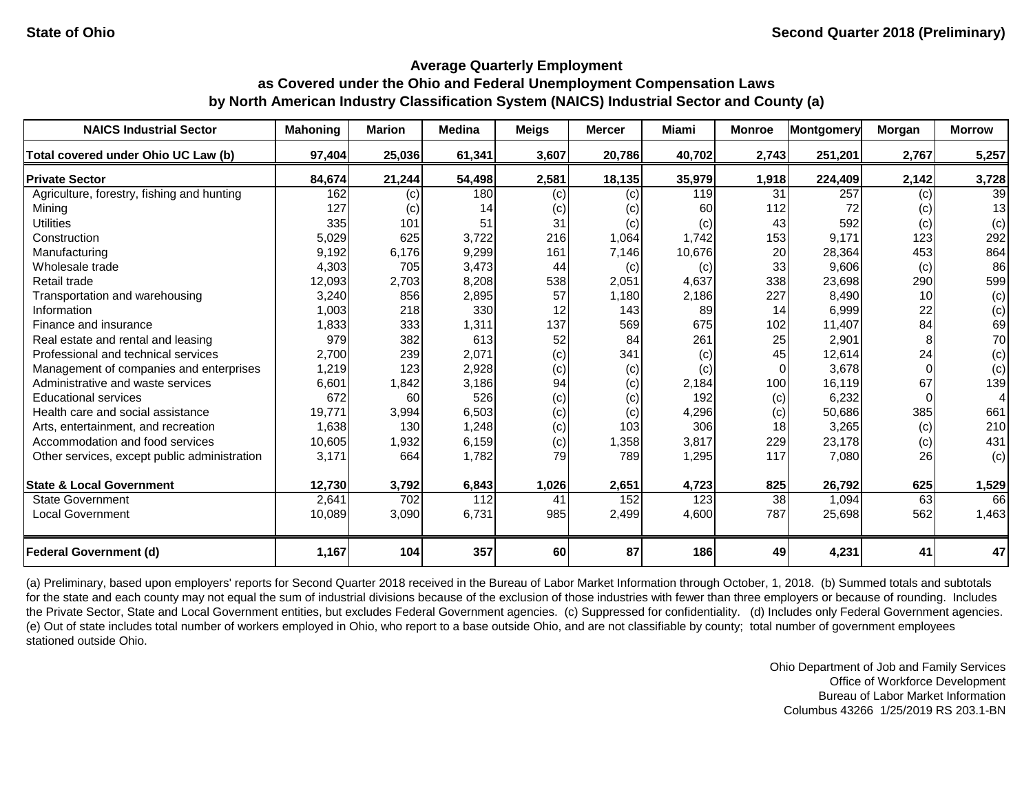| <b>NAICS Industrial Sector</b>               | <b>Mahoning</b> | <b>Marion</b> | <b>Medina</b> | <b>Meigs</b> | <b>Mercer</b> | <b>Miami</b> | <b>Monroe</b> | Montgomery | Morgan          | <b>Morrow</b>  |
|----------------------------------------------|-----------------|---------------|---------------|--------------|---------------|--------------|---------------|------------|-----------------|----------------|
| Total covered under Ohio UC Law (b)          | 97,404          | 25,036        | 61,341        | 3,607        | 20,786        | 40,702       | 2,743         | 251,201    | 2,767           | 5,257          |
| <b>Private Sector</b>                        | 84,674          | 21,244        | 54,498        | 2,581        | 18,135        | 35,979       | 1,918         | 224,409    | 2,142           | 3,728          |
| Agriculture, forestry, fishing and hunting   | 162             | (c)           | 180           | (c)          | (c)           | 119          | 31            | 257        | (c)             | 39             |
| Mining                                       | 127             | (c)           | 14            | (c)          | (c)           | 60           | 112           | 72         | (c)             | 13             |
| <b>Utilities</b>                             | 335             | 101           | 51            | 31           | (c)           | (c)          | 43            | 592        | (c)             | (c)            |
| Construction                                 | 5,029           | 625           | 3,722         | 216          | 1,064         | 1,742        | 153           | 9,171      | 123             | 292            |
| Manufacturing                                | 9,192           | 6,176         | 9,299         | 161          | 7,146         | 10,676       | 20            | 28,364     | 453             | 864            |
| Wholesale trade                              | 4,303           | 705           | 3,473         | 44           | (c)           | (c)          | 33            | 9,606      | (c)             | 86             |
| Retail trade                                 | 12,093          | 2,703         | 8,208         | 538          | 2,051         | 4,637        | 338           | 23,698     | 290             | 599            |
| Transportation and warehousing               | 3,240           | 856           | 2,895         | 57           | 1,180         | 2,186        | 227           | 8,490      | 10 <sup>1</sup> | (c)            |
| Information                                  | 1,003           | 218           | 330           | 12           | 143           | 89           | 14            | 6,999      | 22              | (c)            |
| Finance and insurance                        | 1,833           | 333           | 1,311         | 137          | 569           | 675          | 102           | 11,407     | 84              | 69             |
| Real estate and rental and leasing           | 979             | 382           | 613           | 52           | 84            | 261          | 25            | 2,901      |                 | 70             |
| Professional and technical services          | 2,700           | 239           | 2,071         | (c)          | 341           | (c)          | 45            | 12,614     | 24              | (c)            |
| Management of companies and enterprises      | 1,219           | 123           | 2,928         | (c)          | (c)           | (c)          | $\Omega$      | 3,678      |                 | (c)            |
| Administrative and waste services            | 6,601           | 1,842         | 3,186         | 94           | (c)           | 2,184        | 100           | 16,119     | 67              | 139            |
| <b>Educational services</b>                  | 672             | 60            | 526           | (c)          | (c)           | 192          | (c)           | 6,232      |                 | $\overline{4}$ |
| Health care and social assistance            | 19,771          | 3,994         | 6,503         | (c)          | (c)           | 4,296        | (c)           | 50,686     | 385             | 661            |
| Arts, entertainment, and recreation          | 1,638           | 130           | 1,248         | (c)          | 103           | 306          | 18            | 3,265      | (c)             | 210            |
| Accommodation and food services              | 10,605          | 1,932         | 6,159         | (c)          | 1,358         | 3,817        | 229           | 23,178     | (c)             | 431            |
| Other services, except public administration | 3,171           | 664           | 1,782         | 79           | 789           | 1,295        | 117           | 7,080      | 26              | (c)            |
| <b>State &amp; Local Government</b>          | 12,730          | 3,792         | 6,843         | 1,026        | 2,651         | 4,723        | 825           | 26,792     | 625             | 1,529          |
| <b>State Government</b>                      | 2,641           | 702           | 112           | 41           | 152           | 123          | 38            | 1,094      | 63              | 66             |
| <b>Local Government</b>                      | 10,089          | 3,090         | 6,731         | 985          | 2,499         | 4,600        | 787           | 25,698     | 562             | 1,463          |
| <b>Federal Government (d)</b>                | 1,167           | 104           | 357           | 60           | 87            | 186          | 49            | 4,231      | 41              | 47             |

(a) Preliminary, based upon employers' reports for Second Quarter 2018 received in the Bureau of Labor Market Information through October, 1, 2018. (b) Summed totals and subtotals for the state and each county may not equal the sum of industrial divisions because of the exclusion of those industries with fewer than three employers or because of rounding. Includes the Private Sector, State and Local Government entities, but excludes Federal Government agencies. (c) Suppressed for confidentiality. (d) Includes only Federal Government agencies. (e) Out of state includes total number of workers employed in Ohio, who report to a base outside Ohio, and are not classifiable by county; total number of government employees stationed outside Ohio.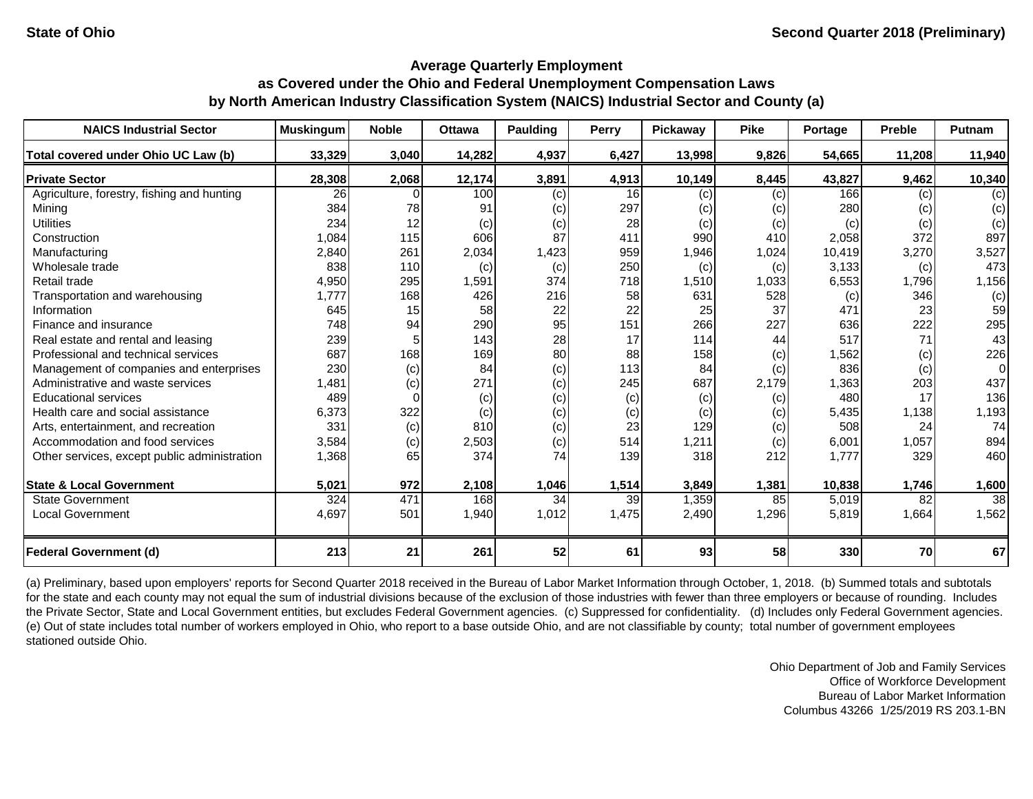| <b>NAICS Industrial Sector</b>               | <b>Muskingum</b> | <b>Noble</b> | <b>Ottawa</b> | <b>Paulding</b> | Perry | <b>Pickaway</b> | <b>Pike</b> | Portage | <b>Preble</b> | Putnam |
|----------------------------------------------|------------------|--------------|---------------|-----------------|-------|-----------------|-------------|---------|---------------|--------|
| Total covered under Ohio UC Law (b)          | 33,329           | 3,040        | 14,282        | 4,937           | 6,427 | 13,998          | 9,826       | 54,665  | 11,208        | 11,940 |
| <b>Private Sector</b>                        | 28,308           | 2,068        | 12,174        | 3,891           | 4,913 | 10,149          | 8,445       | 43,827  | 9,462         | 10,340 |
| Agriculture, forestry, fishing and hunting   | 26               |              | 100           | (c)             | 16    | (c)             | (c)         | 166     | (c)           | (c)    |
| Mining                                       | 384              | 78           | 91            | (c)             | 297   | (c)             | (c)         | 280     | (c)           | (c)    |
| <b>Utilities</b>                             | 234              | 12           | (c)           | (c)             | 28    | (c)             | (c)         | (c)     | (c)           | (c)    |
| Construction                                 | 1,084            | 115          | 606           | 87              | 411   | 990             | 410         | 2,058   | 372           | 897    |
| Manufacturing                                | 2,840            | 261          | 2,034         | 1,423           | 959   | 1,946           | 1,024       | 10,419  | 3,270         | 3,527  |
| Wholesale trade                              | 838              | 110          | (c)           | (c)             | 250   | (c)             | (c)         | 3,133   | (c)           | 473    |
| Retail trade                                 | 4,950            | 295          | 1,591         | 374             | 718   | 1,510           | 1,033       | 6,553   | 1,796         | 1,156  |
| Transportation and warehousing               | 1,777            | 168          | 426           | 216             | 58    | 631             | 528         | (c)     | 346           | (c)    |
| Information                                  | 645              | 15           | 58            | 22              | 22    | 25              | 37          | 471     | 23            | 59     |
| Finance and insurance                        | 748              | 94           | 290           | 95              | 151   | 266             | 227         | 636     | 222           | 295    |
| Real estate and rental and leasing           | 239              |              | 143           | 28              | 17    | 114             | 44          | 517     | 71            | 43     |
| Professional and technical services          | 687              | 168          | 169           | 80              | 88    | 158             | (c)         | 1,562   | (c)           | 226    |
| Management of companies and enterprises      | 230              | (c)          | 84            | (c)             | 113   | 84              | (c)         | 836     | (c)           | 0      |
| Administrative and waste services            | 1,481            | (c)          | 271           | (c)             | 245   | 687             | 2,179       | 1,363   | 203           | 437    |
| <b>Educational services</b>                  | 489              |              | (c)           | (c)             | (c)   | (c)             | (c)         | 480     | 17            | 136    |
| Health care and social assistance            | 6,373            | 322          | (c)           | (c)             | (c)   | (c)             | (c)         | 5,435   | 1,138         | 1,193  |
| Arts, entertainment, and recreation          | 331              | (c)          | 810           | (c)             | 23    | 129             | (c)         | 508     | 24            | 74     |
| Accommodation and food services              | 3,584            | (c)          | 2,503         | (c)             | 514   | 1,211           | (c)         | 6,001   | 1,057         | 894    |
| Other services, except public administration | 1,368            | 65           | 374           | 74              | 139   | 318             | 212         | 1,777   | 329           | 460    |
| <b>State &amp; Local Government</b>          | 5,021            | 972          | 2,108         | 1,046           | 1,514 | 3,849           | 1,381       | 10,838  | 1,746         | 1,600  |
| <b>State Government</b>                      | 324              | 471          | 168           | 34              | 39    | 1,359           | 85          | 5,019   | 82            | 38     |
| <b>Local Government</b>                      | 4,697            | 501          | 1,940         | 1,012           | 1,475 | 2,490           | 1,296       | 5,819   | 1,664         | 1,562  |
| <b>Federal Government (d)</b>                | 213              | 21           | 261           | 52              | 61    | 93              | 58          | 330     | 70            | 67     |

(a) Preliminary, based upon employers' reports for Second Quarter 2018 received in the Bureau of Labor Market Information through October, 1, 2018. (b) Summed totals and subtotals for the state and each county may not equal the sum of industrial divisions because of the exclusion of those industries with fewer than three employers or because of rounding. Includes the Private Sector, State and Local Government entities, but excludes Federal Government agencies. (c) Suppressed for confidentiality. (d) Includes only Federal Government agencies. (e) Out of state includes total number of workers employed in Ohio, who report to a base outside Ohio, and are not classifiable by county; total number of government employees stationed outside Ohio.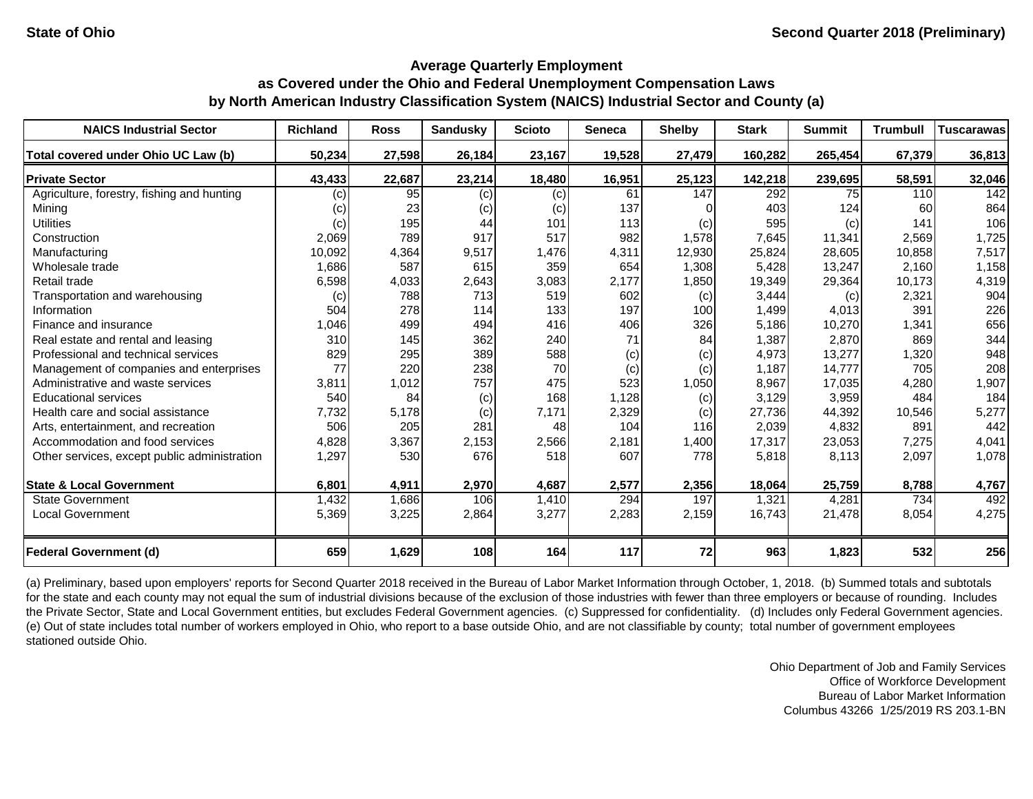| <b>NAICS Industrial Sector</b>               | <b>Richland</b> | <b>Ross</b> | <b>Sandusky</b> | <b>Scioto</b> | <b>Seneca</b> | <b>Shelby</b> | <b>Stark</b> | <b>Summit</b> | <b>Trumbull</b> | <b>Tuscarawas</b> |
|----------------------------------------------|-----------------|-------------|-----------------|---------------|---------------|---------------|--------------|---------------|-----------------|-------------------|
| Total covered under Ohio UC Law (b)          | 50,234          | 27,598      | 26,184          | 23,167        | 19,528        | 27,479        | 160,282      | 265,454       | 67,379          | 36,813            |
| <b>Private Sector</b>                        | 43,433          | 22,687      | 23,214          | 18,480        | 16,951        | 25,123        | 142,218      | 239,695       | 58,591          | 32,046            |
| Agriculture, forestry, fishing and hunting   | (c)             | 95          | (c)             | (c)           | 61            | 147           | 292          | 75            | 110             | 142               |
| Mining                                       | (c)             | 23          | (c)             | (c)           | 137           |               | 403          | 124           | 60              | 864               |
| <b>Utilities</b>                             | (c)             | 195         | 44              | 101           | 113           | (c)           | 595          | (c)           | 141             | 106               |
| Construction                                 | 2,069           | 789         | 917             | 517           | 982           | 1,578         | 7,645        | 11,341        | 2,569           | 1,725             |
| Manufacturing                                | 10,092          | 4,364       | 9,517           | 1,476         | 4,311         | 12,930        | 25,824       | 28,605        | 10,858          | 7,517             |
| Wholesale trade                              | 1,686           | 587         | 615             | 359           | 654           | 1,308         | 5,428        | 13,247        | 2,160           | 1,158             |
| Retail trade                                 | 6,598           | 4,033       | 2,643           | 3,083         | 2,177         | 1,850         | 19,349       | 29,364        | 10,173          | 4,319             |
| Transportation and warehousing               | (c)             | 788         | 713             | 519           | 602           | (c)           | 3,444        | (c)           | 2,321           | 904               |
| Information                                  | 504             | 278         | 114             | 133           | 197           | 100           | 1,499        | 4,013         | 391             | 226               |
| Finance and insurance                        | 1,046           | 499         | 494             | 416           | 406           | 326           | 5,186        | 10,270        | 1,341           | 656               |
| Real estate and rental and leasing           | 310             | 145         | 362             | 240           | 71            | 84            | 1,387        | 2,870         | 869             | 344               |
| Professional and technical services          | 829             | 295         | 389             | 588           | (c)           | (c)           | 4,973        | 13,277        | 1,320           | 948               |
| Management of companies and enterprises      | 77              | 220         | 238             | 70            | (c)           | (c)           | 1,187        | 14,777        | 705             | 208               |
| Administrative and waste services            | 3,811           | 1,012       | 757             | 475           | 523           | 1,050         | 8,967        | 17,035        | 4,280           | 1,907             |
| <b>Educational services</b>                  | 540             | 84          | (c)             | 168           | 1,128         | (c)           | 3,129        | 3,959         | 484             | 184               |
| Health care and social assistance            | 7,732           | 5,178       | (c)             | 7,171         | 2,329         | (c)           | 27,736       | 44,392        | 10,546          | 5,277             |
| Arts, entertainment, and recreation          | 506             | 205         | 281             | 48            | 104           | 116           | 2,039        | 4,832         | 891             | 442               |
| Accommodation and food services              | 4,828           | 3,367       | 2,153           | 2,566         | 2,181         | 1,400         | 17,317       | 23,053        | 7,275           | 4,041             |
| Other services, except public administration | 1,297           | 530         | 676             | 518           | 607           | 778           | 5,818        | 8,113         | 2,097           | 1,078             |
| <b>State &amp; Local Government</b>          | 6,801           | 4,911       | 2,970           | 4,687         | 2,577         | 2,356         | 18,064       | 25,759        | 8,788           | 4,767             |
| <b>State Government</b>                      | 1,432           | 1,686       | 106             | 1,410         | 294           | 197           | 1,321        | 4,281         | 734             | 492               |
| <b>Local Government</b>                      | 5,369           | 3,225       | 2,864           | 3,277         | 2,283         | 2,159         | 16,743       | 21,478        | 8,054           | 4,275             |
| <b>Federal Government (d)</b>                | 659             | 1,629       | 108             | 164           | 117           | 72            | 963          | 1,823         | 532             | 256               |

(a) Preliminary, based upon employers' reports for Second Quarter 2018 received in the Bureau of Labor Market Information through October, 1, 2018. (b) Summed totals and subtotals for the state and each county may not equal the sum of industrial divisions because of the exclusion of those industries with fewer than three employers or because of rounding. Includes the Private Sector, State and Local Government entities, but excludes Federal Government agencies. (c) Suppressed for confidentiality. (d) Includes only Federal Government agencies. (e) Out of state includes total number of workers employed in Ohio, who report to a base outside Ohio, and are not classifiable by county; total number of government employees stationed outside Ohio.